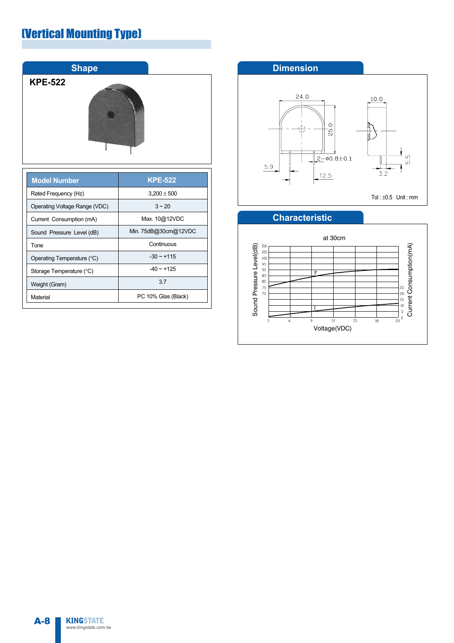### (Vertical Mounting Type)



| MUGI NAHIDEI                  |                      |  |
|-------------------------------|----------------------|--|
| Rated Frequency (Hz)          | $3,200 \pm 500$      |  |
| Operating Voltage Range (VDC) | $3 - 20$             |  |
| Current Consumption (mA)      | Max. 10@12VDC        |  |
| Sound Pressure Level (dB)     | Min. 75dB@30cm@12VDC |  |
| Tone                          | Continuous           |  |
| Operating Temperature (°C)    | $-30 \sim +115$      |  |
| Storage Temperature (°C)      | $-40 \sim +125$      |  |
| Weight (Gram)                 | 3.7                  |  |
| Material                      | PC 10% Glas (Black)  |  |





### **Characteristic**

**KINGSTATE** www.kingstate.com.tw A-8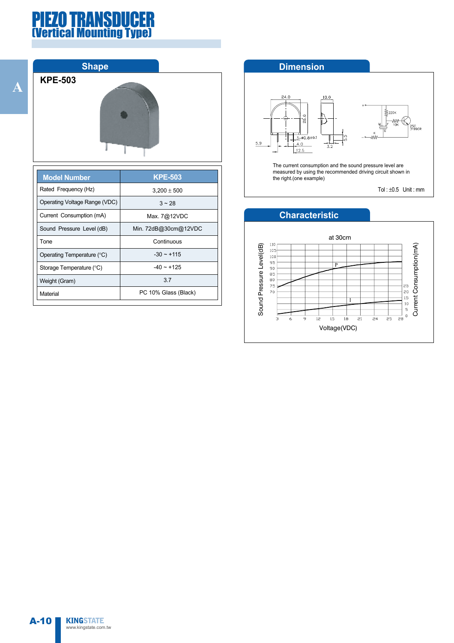### PIEZO TRANSDUCER *<u><b>Tertical Mounting Type</u>*

**A**



| <b>Model Number</b>           | <b>KPE-503</b>       |
|-------------------------------|----------------------|
| Rated Frequency (Hz)          | $3,200 \pm 500$      |
| Operating Voltage Range (VDC) | $3 - 28$             |
| Current Consumption (mA)      | Max. 7@12VDC         |
| Sound Pressure Level (dB)     | Min. 72dB@30cm@12VDC |
| Tone                          | Continuous           |
| Operating Temperature (°C)    | $-30 \sim +115$      |
| Storage Temperature (°C)      | $-40 \sim +125$      |
| Weight (Gram)                 | 3.7                  |
| Material                      | PC 10% Glass (Black) |

#### **Dimension**



The current consumption and the sound pressure level are measured by using the recommended driving circuit shown in the right.(one example)

Tol: $\pm 0.5$  Unit: mm

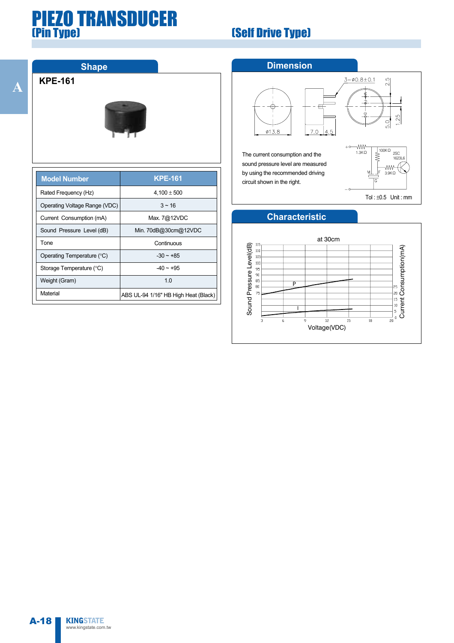### PIEZO TRANSDUCER (Pin Type) (Self Drive Type)

**A**





| <b>Model Number</b>           | <b>KPE-161</b>                       |
|-------------------------------|--------------------------------------|
| Rated Frequency (Hz)          | $4,100 \pm 500$                      |
| Operating Voltage Range (VDC) | $3 - 16$                             |
| Current Consumption (mA)      | Max. 7@12VDC                         |
| Sound Pressure Level (dB)     | Min. 70dB@30cm@12VDC                 |
| Tone                          | Continuous                           |
| Operating Temperature (°C)    | $-30 \sim +85$                       |
| Storage Temperature (°C)      | $-40 \sim +95$                       |
| Weight (Gram)                 | 1 <sub>0</sub>                       |
| Material                      | ABS UL-94 1/16" HB High Heat (Black) |

#### **Dimension**



The current consumption and the sound pressure level are measured by using the recommended driving circuit shown in the right.



 $2.\overline{5}$ 

 $3 - 0.8 \pm 0.1$ 

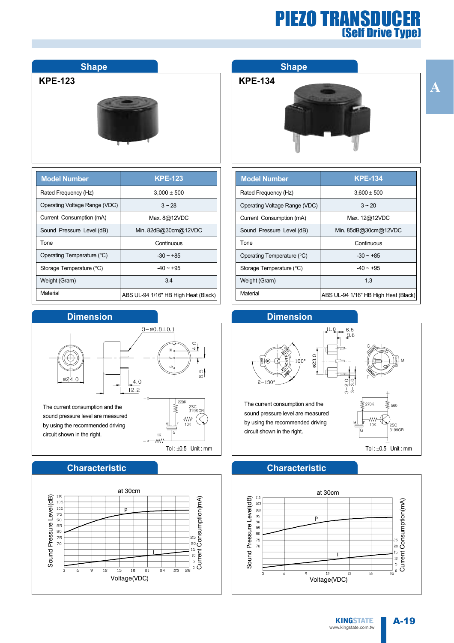### PIEZO TRANSDUCER (Self Drive Type)

**A**

## **Shape**

**KPE-123**



| <b>Model Number</b>           | <b>KPE-123</b>                       |
|-------------------------------|--------------------------------------|
| Rated Frequency (Hz)          | $3,000 \pm 500$                      |
| Operating Voltage Range (VDC) | $3 - 28$                             |
| Current Consumption (mA)      | Max. 8@12VDC                         |
| Sound Pressure Level (dB)     | Min. 82dB@30cm@12VDC                 |
| Tone                          | Continuous                           |
| Operating Temperature (°C)    | $-30 \sim +85$                       |
| Storage Temperature (°C)      | $-40 - +95$                          |
| Weight (Gram)                 | 34                                   |
| Material                      | ABS UL-94 1/16" HB High Heat (Black) |

#### **Dimension**



#### **Characteristic**



#### **Shape**

#### **KPE-134**



| <b>Model Number</b>           | <b>KPE-134</b>                       |
|-------------------------------|--------------------------------------|
| Rated Frequency (Hz)          | $3.600 \pm 500$                      |
| Operating Voltage Range (VDC) | $3 - 20$                             |
| Current Consumption (mA)      | Max. 12@12VDC                        |
| Sound Pressure Level (dB)     | Min. 85dB@30cm@12VDC                 |
| Tone                          | Continuous                           |
| Operating Temperature (°C)    | $-30 \sim +85$                       |
| Storage Temperature (°C)      | $-40 \sim +95$                       |
| Weight (Gram)                 | 13                                   |
| Material                      | ABS UL-94 1/16" HB High Heat (Black) |



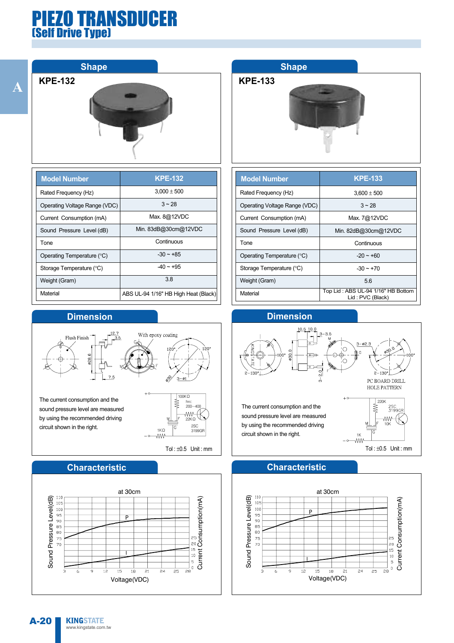### PIEZO TRANSDUCER (Self Drive Type)

**Shape**

**KPE-132**



| <b>Model Number</b>           | <b>KPE-132</b>                       |
|-------------------------------|--------------------------------------|
| Rated Frequency (Hz)          | $3.000 \pm 500$                      |
| Operating Voltage Range (VDC) | $3 - 28$                             |
| Current Consumption (mA)      | Max. 8@12VDC                         |
| Sound Pressure Level (dB)     | Min. 83dB@30cm@12VDC                 |
| Tone                          | Continuous                           |
| Operating Temperature (°C)    | $-30 \sim +85$                       |
| Storage Temperature (°C)      | $-40 \sim +95$                       |
| Weight (Gram)                 | 38                                   |
| Material                      | ABS UL-94 1/16" HB High Heat (Black) |

#### **Dimension**



sound pressure level are measured by using the recommended driving circuit shown in the right.



Tol: $\pm 0.5$  Unit: mm

### **Characteristic**



### **Shape**

**KPE-133**



| <b>Model Number</b>           | <b>KPE-133</b>                                         |
|-------------------------------|--------------------------------------------------------|
| Rated Frequency (Hz)          | $3.600 \pm 500$                                        |
| Operating Voltage Range (VDC) | $3 - 28$                                               |
| Current Consumption (mA)      | Max. 7@12VDC                                           |
| Sound Pressure Level (dB)     | Min. 82dB@30cm@12VDC                                   |
| Tone                          | Continuous                                             |
| Operating Temperature (°C)    | $-20 - 60$                                             |
| Storage Temperature (°C)      | $-30 \sim +70$                                         |
| Weight (Gram)                 | 5.6                                                    |
| Material                      | Top Lid: ABS UL-94 1/16" HB Bottom<br>Lid: PVC (Black) |



### **Characteristic**

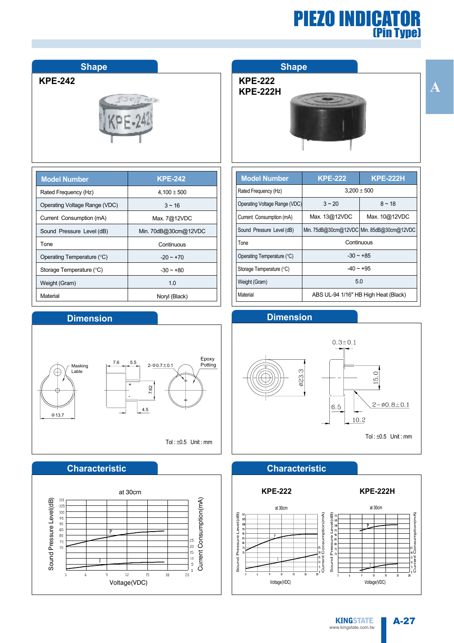

**Shape**

**KPE-242**

| <b>Model Number</b>           | <b>KPE-242</b>       |
|-------------------------------|----------------------|
| Rated Frequency (Hz)          | $4,100 \pm 500$      |
| Operating Voltage Range (VDC) | $3 - 16$             |
| Current Consumption (mA)      | Max. 7@12VDC         |
| Sound Pressure Level (dB)     | Min. 70dB@30cm@12VDC |
| <b>Tone</b>                   | Continuous           |
| Operating Temperature (°C)    | $-20 \sim +70$       |
| Storage Temperature (°C)      | $-30 - +80$          |
| Weight (Gram)                 | 1.0                  |
| Material                      | Noryl (Black)        |

#### **Dimension**



#### **Characteristic**



#### **Shape**

| <b>KPE-222</b>  |
|-----------------|
| <b>KPE-222H</b> |



| <b>Model Number</b>           | <b>KPE-222</b>                       | <b>KPE-222H</b>                           |
|-------------------------------|--------------------------------------|-------------------------------------------|
| Rated Frequency (Hz)          | $3,200 \pm 500$                      |                                           |
| Operating Voltage Range (VDC) | $3 - 20$                             | $8 - 18$                                  |
| Current Consumption (mA)      | Max. 13@12VDC                        | Max. 10@12VDC                             |
| Sound Pressure Level (dB)     |                                      | Min. 75dB@30cm@12VDC Min. 85dB@30cm@12VDC |
| Tone                          | Continuous                           |                                           |
| Operating Temperature (°C)    | $-30 \sim +85$                       |                                           |
| Storage Temperature (°C)      | $-40 \sim +95$                       |                                           |
| Weight (Gram)                 | 5.0                                  |                                           |
| Material                      | ABS UL-94 1/16" HB High Heat (Black) |                                           |





#### **Characteristic**

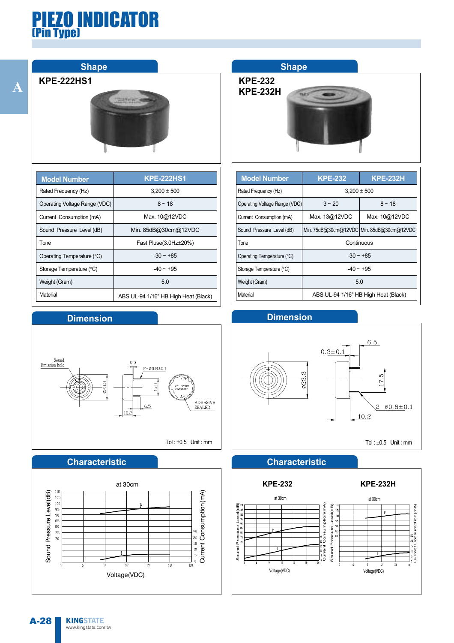

#### **KPE-222HS1**



| <b>Model Number</b>           | <b>KPE-222HS1</b>                    |
|-------------------------------|--------------------------------------|
| Rated Frequency (Hz)          | $3.200 \pm 500$                      |
| Operating Voltage Range (VDC) | $8 - 18$                             |
| Current Consumption (mA)      | Max. 10@12VDC                        |
| Sound Pressure Level (dB)     | Min. 85dB@30cm@12VDC                 |
| Tone                          | Fast Pluse(3.0Hz $\pm$ 20%)          |
| Operating Temperature (°C)    | $-30 \sim +85$                       |
| Storage Temperature (°C)      | $-40 \sim +95$                       |
| Weight (Gram)                 | 5.0                                  |
| Material                      | ABS UL-94 1/16" HB High Heat (Black) |

#### **Dimension**



#### **Characteristic**



### **Shape**

**KPE-232 KPE-232H**



| <b>Model Number</b>           | <b>KPE-232</b>                            | <b>KPE-232H</b> |
|-------------------------------|-------------------------------------------|-----------------|
| Rated Frequency (Hz)          | $3,200 \pm 500$                           |                 |
| Operating Voltage Range (VDC) | $3 - 20$                                  | $8 - 18$        |
| Current Consumption (mA)      | Max. 13@12VDC                             | Max. 10@12VDC   |
| Sound Pressure Level (dB)     | Min. 75dB@30cm@12VDC Min. 85dB@30cm@12VDC |                 |
| Tone                          | Continuous                                |                 |
| Operating Temperature (°C)    | $-30 \sim +85$                            |                 |
| Storage Temperature (°C)      | $-40 \sim +95$                            |                 |
| Weight (Gram)                 | 5.0                                       |                 |
| Material                      | ABS UL-94 1/16" HB High Heat (Black)      |                 |



Tol : ±0.5 Unit : mm



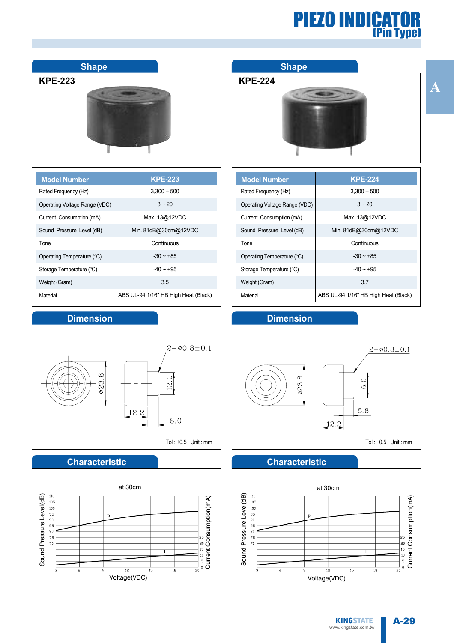

| <b>Model Number</b>           | <b>KPE-223</b>                       |
|-------------------------------|--------------------------------------|
| Rated Frequency (Hz)          | $3.300 \pm 500$                      |
| Operating Voltage Range (VDC) | $3 - 20$                             |
| Current Consumption (mA)      | Max. 13@12VDC                        |
| Sound Pressure Level (dB)     | Min. 81dB@30cm@12VDC                 |
| Tone                          | Continuous                           |
| Operating Temperature (°C)    | $-30 \sim +85$                       |
| Storage Temperature (°C)      | $-40 \sim +95$                       |
| Weight (Gram)                 | 3.5                                  |
| Material                      | ABS UL-94 1/16" HB High Heat (Black) |

#### **Dimension**



#### **Characteristic**



#### **Shape**

#### **KPE-224**



| <b>Model Number</b>           | <b>KPE-224</b>                       |
|-------------------------------|--------------------------------------|
| Rated Frequency (Hz)          | $3.300 \pm 500$                      |
| Operating Voltage Range (VDC) | $3 - 20$                             |
| Current Consumption (mA)      | Max. 13@12VDC                        |
| Sound Pressure Level (dB)     | Min. 81dB@30cm@12VDC                 |
| Tone                          | Continuous                           |
| Operating Temperature (°C)    | $-30 \sim +85$                       |
| Storage Temperature (°C)      | $-40 \sim +95$                       |
| Weight (Gram)                 | 37                                   |
| Material                      | ABS UL-94 1/16" HB High Heat (Black) |

#### **Dimension**



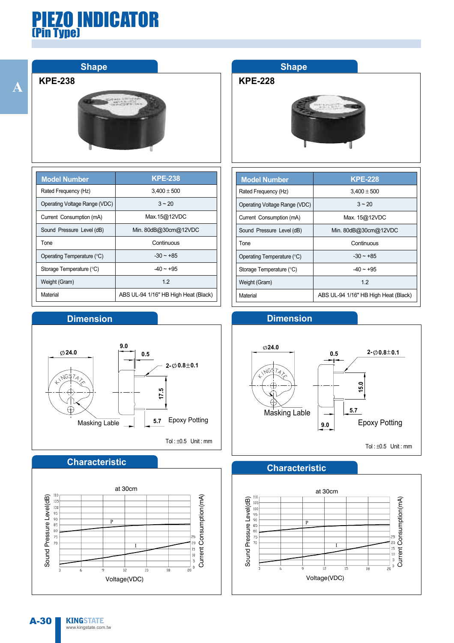

| <b>Model Number</b>           | <b>KPE-238</b>                       |
|-------------------------------|--------------------------------------|
| Rated Frequency (Hz)          | $3.400 \pm 500$                      |
| Operating Voltage Range (VDC) | $3 - 20$                             |
| Current Consumption (mA)      | Max.15@12VDC                         |
| Sound Pressure Level (dB)     | Min. 80dB@30cm@12VDC                 |
| Tone                          | Continuous                           |
| Operating Temperature (°C)    | $-30 \sim +85$                       |
| Storage Temperature (°C)      | $-40 \sim +95$                       |
| Weight (Gram)                 | 12                                   |
| Material                      | ABS UL-94 1/16" HB High Heat (Black) |

#### **Dimension**



#### **Characteristic**



### **Shape**

#### **KPE-228**



| <b>Model Number</b>           | <b>KPE-228</b>                       |
|-------------------------------|--------------------------------------|
| Rated Frequency (Hz)          | $3,400 \pm 500$                      |
| Operating Voltage Range (VDC) | $3 \sim 20$                          |
| Current Consumption (mA)      | Max. 15@12VDC                        |
| Sound Pressure Level (dB)     | Min. 80dB@30cm@12VDC                 |
| Tone                          | Continuous                           |
| Operating Temperature (°C)    | $-30 \sim +85$                       |
| Storage Temperature (°C)      | $-40 \sim +95$                       |
| Weight (Gram)                 | 12                                   |
| Material                      | ABS UL-94 1/16" HB High Heat (Black) |

#### **Dimension**



Tol: $\pm 0.5$  Unit: mm

#### **Characteristic**

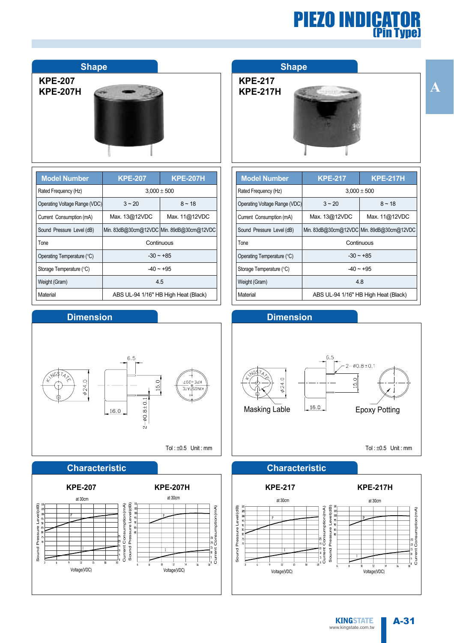| <b>Shape</b>                      |                 |                 |
|-----------------------------------|-----------------|-----------------|
| <b>KPE-207</b><br><b>KPE-207H</b> |                 |                 |
|                                   |                 |                 |
| <b>Model Number</b>               | <b>KPE-207</b>  | <b>KPE-207H</b> |
| Rated Frequency (Hz)              | $3,000 \pm 500$ |                 |
|                                   |                 |                 |

| <b>MOREL MATILIA</b>          | IN 1974 VII<br>IN 579711                  |               |  |
|-------------------------------|-------------------------------------------|---------------|--|
| Rated Frequency (Hz)          | $3,000 \pm 500$                           |               |  |
| Operating Voltage Range (VDC) | $3 - 20$                                  | $8 - 18$      |  |
| Current Consumption (mA)      | Max. 13@12VDC                             | Max. 11@12VDC |  |
| Sound Pressure Level (dB)     | Min. 83dB@30cm@12VDC Min. 89dB@30cm@12VDC |               |  |
| Tone                          | Continuous                                |               |  |
| Operating Temperature (°C)    | $-30 \sim +85$                            |               |  |
| Storage Temperature (°C)      | $-40 \sim +95$                            |               |  |
| Weight (Gram)                 | 4.5                                       |               |  |
| Material                      | ABS UL-94 1/16" HB High Heat (Black)      |               |  |

#### **Dimension**



#### **Characteristic**



#### **Shape**

| <b>KPE-217</b>  |  |
|-----------------|--|
| <b>KPE-217H</b> |  |



| <b>Model Number</b>           | <b>KPE-217H</b><br><b>KPE-217</b>         |                 |  |  |
|-------------------------------|-------------------------------------------|-----------------|--|--|
| Rated Frequency (Hz)          |                                           | $3,000 \pm 500$ |  |  |
| Operating Voltage Range (VDC) | $3 - 20$                                  | $8 - 18$        |  |  |
| Current Consumption (mA)      | Max. 13@12VDC                             | Max. 11@12VDC   |  |  |
| Sound Pressure Level (dB)     | Min. 83dB@30cm@12VDC Min. 89dB@30cm@12VDC |                 |  |  |
| Tone                          | Continuous                                |                 |  |  |
| Operating Temperature (°C)    | $-30 \sim +85$                            |                 |  |  |
| Storage Temperature (°C)      | $-40 \sim +95$                            |                 |  |  |
| Weight (Gram)                 | 4.8                                       |                 |  |  |
| Material                      | ABS UL-94 1/16" HB High Heat (Black)      |                 |  |  |





Tol: $\pm 0.5$  Unit: mm

A-31

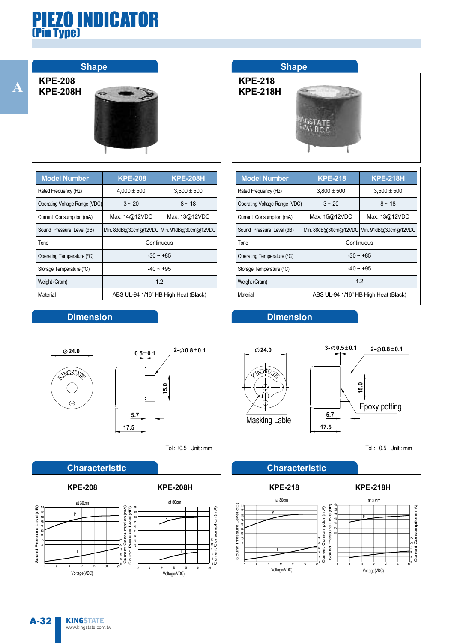**A**

**KPE-208**



| <b>Model Number</b>           | <b>KPE-208H</b><br><b>KPE-208</b>         |                 |  |  |
|-------------------------------|-------------------------------------------|-----------------|--|--|
| Rated Frequency (Hz)          | $4,000 \pm 500$                           | $3,500 \pm 500$ |  |  |
| Operating Voltage Range (VDC) | $3 - 20$                                  | $8 - 18$        |  |  |
| Current Consumption (mA)      | Max. 14@12VDC                             | Max. 13@12VDC   |  |  |
| Sound Pressure Level (dB)     | Min. 83dB@30cm@12VDC Min. 91dB@30cm@12VDC |                 |  |  |
| <b>Tone</b>                   | Continuous                                |                 |  |  |
| Operating Temperature (°C)    | $-30 \sim +85$                            |                 |  |  |
| Storage Temperature (°C)      | $-40 - +95$                               |                 |  |  |
| Weight (Gram)                 | 1.2                                       |                 |  |  |
| Material                      | ABS UL-94 1/16" HB High Heat (Black)      |                 |  |  |

#### **Dimension**



#### **Characteristic**



#### **Shape**

**KPE-218 KPE-218H**



| <b>Model Number</b>           | <b>KPE-218H</b><br><b>KPE-218</b>         |                 |  |  |
|-------------------------------|-------------------------------------------|-----------------|--|--|
| Rated Frequency (Hz)          | $3,800 \pm 500$                           | $3,500 \pm 500$ |  |  |
| Operating Voltage Range (VDC) | $3 - 20$                                  | $8 - 18$        |  |  |
| Current Consumption (mA)      | Max. 15@12VDC                             | Max. 13@12VDC   |  |  |
| Sound Pressure Level (dB)     | Min. 88dB@30cm@12VDC Min. 91dB@30cm@12VDC |                 |  |  |
| Tone                          | Continuous                                |                 |  |  |
| Operating Temperature (°C)    | $-30 \sim +85$                            |                 |  |  |
| Storage Temperature (°C)      | $-40 \sim +95$                            |                 |  |  |
| Weight (Gram)                 | 12                                        |                 |  |  |
| Material                      | ABS UL-94 1/16" HB High Heat (Black)      |                 |  |  |





#### **Characteristic**

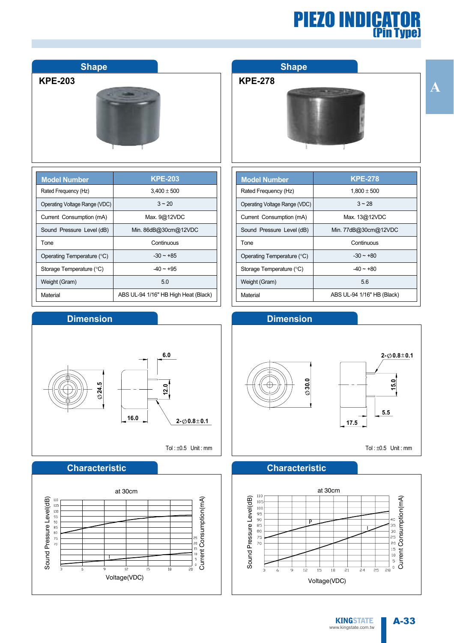| <b>KPE-203</b>                |                                      |  | KPE-         |
|-------------------------------|--------------------------------------|--|--------------|
| <b>Model Number</b>           | <b>KPE-203</b>                       |  | <b>Model</b> |
| Rated Frequency (Hz)          | $3,400 \pm 500$                      |  | Rated F      |
| Operating Voltage Range (VDC) | $3 - 20$                             |  | Operating    |
| Current Consumption (mA)      | Max. 9@12VDC                         |  | Current      |
| Sound Pressure Level (dB)     | Min. 86dB@30cm@12VDC                 |  | Sound F      |
| Tone                          | Continuous                           |  | Tone         |
| Operating Temperature (°C)    | $-30 - +85$                          |  | Operatin     |
| Storage Temperature (°C)      | $-40 \sim +95$                       |  | Storage      |
| Weight (Gram)                 | 5.0                                  |  | Weight (     |
| Material                      | ABS UL-94 1/16" HB High Heat (Black) |  | Material     |

#### **Dimension**

**Shape**



#### **Characteristic**



#### **Shape**

**KPE-278**

٦  $\overline{1}$ 



| <b>Model Number</b>           | <b>KPE-278</b>             |
|-------------------------------|----------------------------|
| Rated Frequency (Hz)          | $1,800 \pm 500$            |
| Operating Voltage Range (VDC) | $3 - 28$                   |
| Current Consumption (mA)      | Max. 13@12VDC              |
| Sound Pressure Level (dB)     | Min. 77dB@30cm@12VDC       |
| Tone                          | Continuous                 |
| Operating Temperature (°C)    | $-30 \sim +80$             |
| Storage Temperature (°C)      | $-40 - +80$                |
| Weight (Gram)                 | 5.6                        |
| Material                      | ABS UL-94 1/16" HB (Black) |

#### **Dimension**



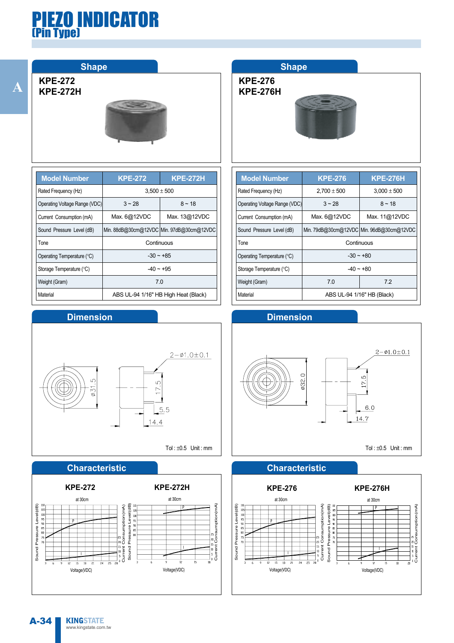#### **Shape**

**KPE-272 KPE-272H**



| <b>Model Number</b>           | <b>KPE-272</b>                       | <b>KPE-272H</b>                           |
|-------------------------------|--------------------------------------|-------------------------------------------|
| Rated Frequency (Hz)          | $3.500 \pm 500$                      |                                           |
| Operating Voltage Range (VDC) | $3 - 28$                             | $8 - 18$                                  |
| Current Consumption (mA)      | Max. 6@12VDC                         | Max. 13@12VDC                             |
| Sound Pressure Level (dB)     |                                      | Min. 88dB@30cm@12VDC Min. 97dB@30cm@12VDC |
| Tone                          | Continuous                           |                                           |
| Operating Temperature (°C)    | $-30 \sim +85$                       |                                           |
| Storage Temperature (°C)      | $-40 \sim +95$                       |                                           |
| Weight (Gram)                 | 7.0                                  |                                           |
| Material                      | ABS UL-94 1/16" HB High Heat (Black) |                                           |

#### **Dimension**



#### **Characteristic**



#### **Shape**

**KPE-276 KPE-276H**



| <b>Model Number</b>           | <b>KPE-276</b>             | <b>KPE-276H</b>                           |
|-------------------------------|----------------------------|-------------------------------------------|
| Rated Frequency (Hz)          | $2,700 \pm 500$            | $3.000 \pm 500$                           |
| Operating Voltage Range (VDC) | $3 - 28$                   | $8 - 18$                                  |
| Current Consumption (mA)      | Max. 6@12VDC               | Max. 11@12VDC                             |
| Sound Pressure Level (dB)     |                            | Min. 79dB@30cm@12VDC Min. 96dB@30cm@12VDC |
| Tone                          | Continuous                 |                                           |
| Operating Temperature (°C)    | $-30 \sim +80$             |                                           |
| Storage Temperature (°C)      | $-40 - +80$                |                                           |
| Weight (Gram)                 | 7.0                        | 72                                        |
| Material                      | ABS UL-94 1/16" HB (Black) |                                           |





#### **Characteristic**

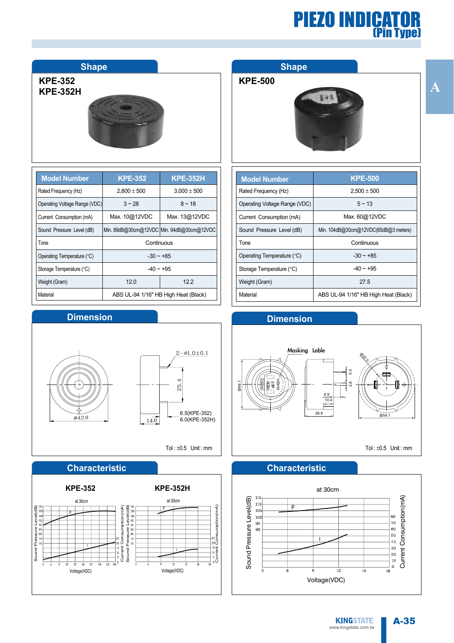#### **Shape**

#### **KPE-352 KPE-352H**



| <b>Model Number</b>           | <b>KPE-352</b>                       | <b>KPE-352H</b>                           |
|-------------------------------|--------------------------------------|-------------------------------------------|
| Rated Frequency (Hz)          | $2,800 \pm 500$                      | $3,000 \pm 500$                           |
| Operating Voltage Range (VDC) | $3 - 28$                             | $8 - 18$                                  |
| Current Consumption (mA)      | Max. 10@12VDC                        | Max. 13@12VDC                             |
| Sound Pressure Level (dB)     |                                      | Min. 89dB@30cm@12VDC Min. 94dB@30cm@12VDC |
| Tone                          | Continuous                           |                                           |
| Operating Temperature (°C)    | $-30 \sim +85$                       |                                           |
| Storage Temperature (°C)      | $-40 \sim +95$                       |                                           |
| Weight (Gram)                 | 12.0                                 | 122                                       |
| Material                      | ABS UL-94 1/16" HB High Heat (Black) |                                           |

#### **Dimension**



#### **Characteristic**



#### **Shape**

#### **KPE-500**



| <b>Model Number</b>           | <b>KPE-500</b>                       |
|-------------------------------|--------------------------------------|
| Rated Frequency (Hz)          | $2.500 \pm 500$                      |
| Operating Voltage Range (VDC) | $5 \sim 13$                          |
| Current Consumption (mA)      | Max. 60@12VDC                        |
| Sound Pressure Level (dB)     | Min. 104dB@30cm@12VDC(85dB@3 meters) |
| Tone                          | Continuous                           |
| Operating Temperature (°C)    | $-30 - +85$                          |
| Storage Temperature (°C)      | $-40 \sim +95$                       |
| Weight (Gram)                 | 27.5                                 |
| Material                      | ABS UL-94 1/16" HB High Heat (Black) |